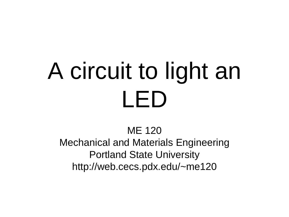# A circuit to light an LED

ME 120

Mechanical and Materials Engineering Portland State University http://web.cecs.pdx.edu/~me120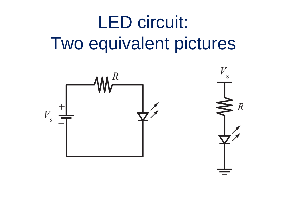## LED circuit: Two equivalent pictures

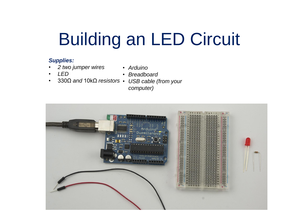## Building an LED Circuit

#### *Supplies:*

- *2 two jumper wires*
- *Arduino*

• *LED*

- *Breadboard*
- 
- 330Ω *and* 10kΩ *resistors USB cable (from your computer)*

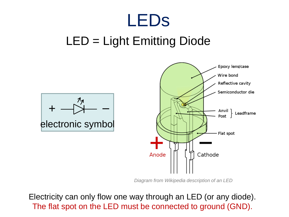### LEDs

#### LED = Light Emitting Diode



*Diagram from Wikipedia description of an LED*

Electricity can only flow one way through an LED (or any diode). The flat spot on the LED must be connected to ground (GND).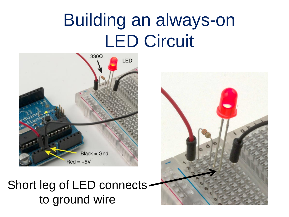### Building an always-on LED Circuit



#### Short leg of LED connects to ground wire

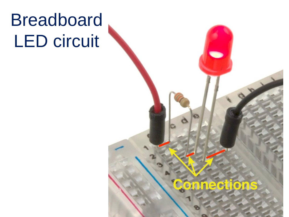### Breadboard LED circuit



5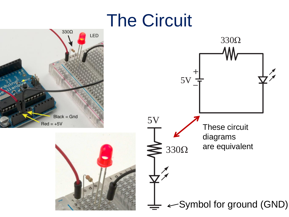### The Circuit

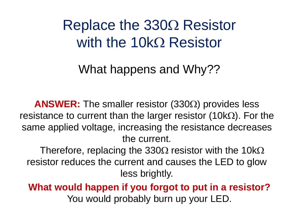$\mathsf{Replace}$  the 330 $\Omega$  Resistor with the  $10k\Omega$  Resistor

What happens and Why??

**ANSWER:** The smaller resistor  $(330\Omega)$  provides less resistance to current than the larger resistor (10k $\Omega$ ). For the same applied voltage, increasing the resistance decreases the current.

Therefore, replacing the 330 $\Omega$  resistor with the 10k $\Omega$ resistor reduces the current and causes the LED to glow less brightly.

**What would happen if you forgot to put in a resistor?** You would probably burn up your LED.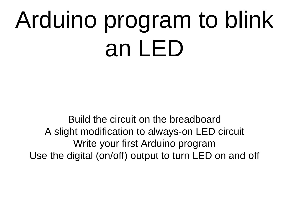# Arduino program to blink an LED

Build the circuit on the breadboard A slight modification to always-on LED circuit Write your first Arduino program Use the digital (on/off) output to turn LED on and off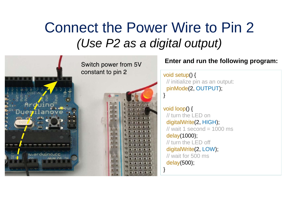#### Connect the Power Wire to Pin 2 *(Use P2 as a digital output)*

}

}



#### **Enter and run the following program:**

void setup() { // initialize pin as an output: pinMode(2, OUTPUT);

void loop() { // turn the LED on digitalWrite(2, HIGH);  $\frac{1}{2}$  wait 1 second = 1000 ms delay(1000); // turn the LED off digitalWrite(2, LOW); // wait for 500 ms delay(500);